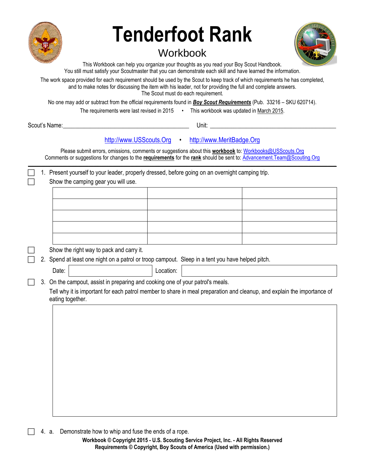

# **Tenderfoot Rank**

# **Workbook**



This Workbook can help you organize your thoughts as you read your Boy Scout Handbook. You still must satisfy your Scoutmaster that you can demonstrate each skill and have learned the information.

The work space provided for each requirement should be used by the Scout to keep track of which requirements he has completed, and to make notes for discussing the item with his leader, not for providing the full and complete answers. The Scout must do each requirement.

No one may add or subtract from the official requirements found in *Boy Scout Requirements* (Pub. 33216 – SKU 620714).

The requirements were last revised in 2015 • This workbook was updated in March 2015.

Scout's Name: The Community of the Community Scout's Name: The Community of the Community of the Community of the Community of the Community of the Community of the Community of the Community of the Community of the Commun

[http://www.USScouts.Org](http://www.usscouts.org/) • [http://www.MeritBadge.Org](http://www.meritbadge.org/)

Please submit errors, omissions, comments or suggestions about this **workbook** to: [Workbooks@USScouts.Org](mailto:Workbooks@usscouts.org?subject=Merit%20Badge%20Workbooks) Comments or suggestions for changes to the **requirements** for the **rank** should be sent to: [Advancement.Team@Scouting.Org](mailto:Advancement.Team@Scouting.Org) *\_\_\_\_\_\_\_\_\_\_\_\_\_\_\_\_\_\_\_\_\_\_\_\_\_\_\_\_\_\_\_\_\_\_\_\_\_\_\_\_\_\_\_\_\_\_\_\_\_\_\_\_\_\_\_\_\_\_\_\_\_\_\_\_\_\_\_\_\_\_\_\_\_\_\_\_\_\_\_\_\_\_\_\_\_\_\_\_\_\_\_\_\_\_\_\_\_\_\_\_\_\_\_\_\_\_\_\_\_\_\_\_\_\_\_\_\_\_\_\_\_\_\_\_\_\_\_\_\_\_\_\_\_\_\_\_\_\_\_\_\_\_*

 1. Present yourself to your leader, properly dressed, before going on an overnight camping trip. Show the camping gear you will use. Show the right way to pack and carry it. 2. Spend at least one night on a patrol or troop campout. Sleep in a tent you have helped pitch. Date: Date: Note: Note: Note: No. 2016. [2016] Location: No. 2016. [2016] Location: No. 2016. [2016] Location: 3. On the campout, assist in preparing and cooking one of your patrol's meals. Tell why it is important for each patrol member to share in meal preparation and cleanup, and explain the importance of eating together.

4. a. Demonstrate how to whip and fuse the ends of a rope.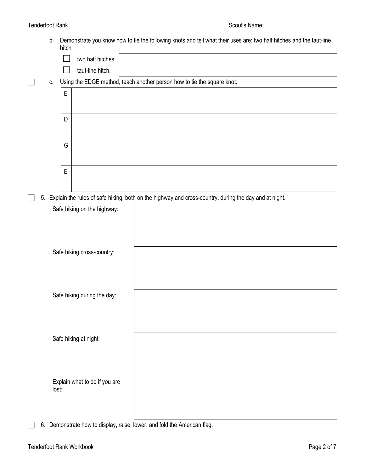# Tenderfoot Rank Scout's Name: 2008 Scout's Name: 2008 Scout's Name: 2008 Scout's Name: 2008 Scout's Name: 2008

b. Demonstrate you know how to tie the following knots and tell what their uses are: two half hitches and the taut-line hitch

| <b>THICH</b> |                                                                            |
|--------------|----------------------------------------------------------------------------|
|              | two half hitches                                                           |
|              | taut-line hitch.                                                           |
|              | c. Using the EDGE method, teach another person how to tie the square knot. |
| $\mathsf E$  |                                                                            |
|              |                                                                            |
| D            |                                                                            |
|              |                                                                            |
| G            |                                                                            |
|              |                                                                            |
|              |                                                                            |
| E            |                                                                            |

5. Explain the rules of safe hiking, both on the highway and cross-country, during the day and at night.

| Safe hiking on the highway:            |  |
|----------------------------------------|--|
| Safe hiking cross-country:             |  |
| Safe hiking during the day:            |  |
| Safe hiking at night:                  |  |
| Explain what to do if you are<br>lost: |  |

6. Demonstrate how to display, raise, lower, and fold the American flag.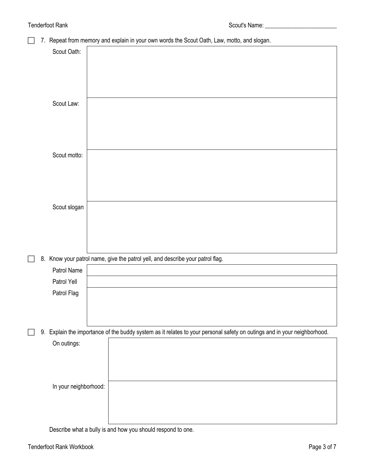# 7. Repeat from memory and explain in your own words the [Scout Oath](http://usscouts.org/advance/boyscout/bsoath.asp), Law, motto, and slogan.

| Scout Oath:                |                                                                                                                          |
|----------------------------|--------------------------------------------------------------------------------------------------------------------------|
|                            |                                                                                                                          |
|                            |                                                                                                                          |
|                            |                                                                                                                          |
| Scout Law:                 |                                                                                                                          |
|                            |                                                                                                                          |
|                            |                                                                                                                          |
| Scout motto:               |                                                                                                                          |
|                            |                                                                                                                          |
|                            |                                                                                                                          |
|                            |                                                                                                                          |
| Scout slogan               |                                                                                                                          |
|                            |                                                                                                                          |
|                            |                                                                                                                          |
|                            |                                                                                                                          |
|                            | 8. Know your patrol name, give the patrol yell, and describe your patrol flag.                                           |
| Patrol Name                |                                                                                                                          |
| Patrol Yell<br>Patrol Flag |                                                                                                                          |
|                            |                                                                                                                          |
|                            |                                                                                                                          |
|                            | 9. Explain the importance of the buddy system as it relates to your personal safety on outings and in your neighborhood. |
| On outings:                |                                                                                                                          |
|                            |                                                                                                                          |
|                            |                                                                                                                          |
| In your neighborhood:      |                                                                                                                          |
|                            |                                                                                                                          |
|                            |                                                                                                                          |
|                            |                                                                                                                          |

Describe what a bully is and how you should respond to one.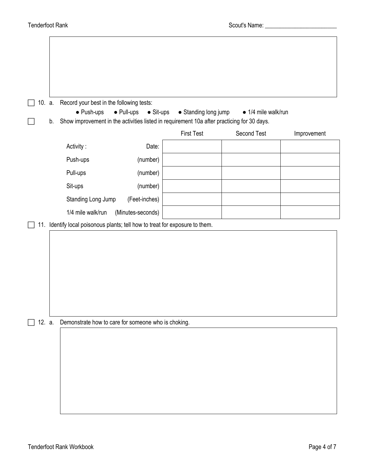| Show improvement in the activities listed in requirement 10a after practicing for 30 days.<br>Activity:<br>Date:<br>Push-ups<br>(number) | <b>First Test</b> | Second Test                                                                                                                         | Improvement |
|------------------------------------------------------------------------------------------------------------------------------------------|-------------------|-------------------------------------------------------------------------------------------------------------------------------------|-------------|
|                                                                                                                                          |                   |                                                                                                                                     |             |
|                                                                                                                                          |                   |                                                                                                                                     |             |
|                                                                                                                                          |                   |                                                                                                                                     |             |
| Pull-ups<br>(number)                                                                                                                     |                   |                                                                                                                                     |             |
| Sit-ups<br>(number)                                                                                                                      |                   |                                                                                                                                     |             |
| Standing Long Jump<br>(Feet-inches)                                                                                                      |                   |                                                                                                                                     |             |
| 1/4 mile walk/run<br>(Minutes-seconds)                                                                                                   |                   |                                                                                                                                     |             |
|                                                                                                                                          |                   |                                                                                                                                     |             |
|                                                                                                                                          |                   |                                                                                                                                     |             |
|                                                                                                                                          |                   | 11. Identify local poisonous plants; tell how to treat for exposure to them.<br>Demonstrate how to care for someone who is choking. |             |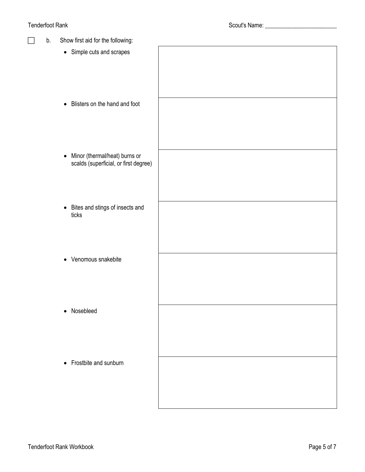# Tenderfoot Rank and the state of the state of the Scout's Name: \_\_\_\_\_\_\_\_\_\_\_\_\_\_\_\_

| Show first aid for the following:<br>b.                                             |  |
|-------------------------------------------------------------------------------------|--|
| • Simple cuts and scrapes                                                           |  |
| • Blisters on the hand and foot                                                     |  |
| Minor (thermal/heat) burns or<br>$\bullet$<br>scalds (superficial, or first degree) |  |
| • Bites and stings of insects and<br>ticks                                          |  |
| • Venomous snakebite                                                                |  |
| • Nosebleed                                                                         |  |
| • Frostbite and sunburn                                                             |  |
|                                                                                     |  |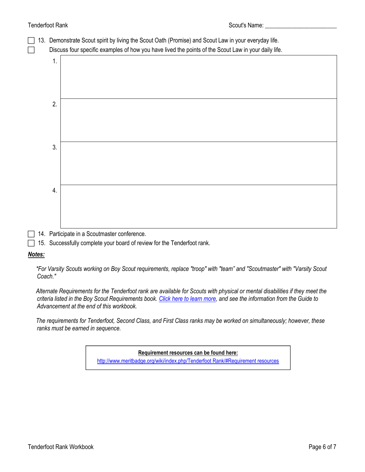## Tenderfoot Rank Scout's Name: \_\_\_\_\_\_\_\_\_\_\_\_\_\_\_\_\_\_\_\_\_\_\_\_

| 13. | Demonstrate Scout spirit by living the Scout Oath (Promise) and Scout Law in your everyday life.<br>Discuss four specific examples of how you have lived the points of the Scout Law in your daily life. |
|-----|----------------------------------------------------------------------------------------------------------------------------------------------------------------------------------------------------------|
| 1.  |                                                                                                                                                                                                          |
| 2.  |                                                                                                                                                                                                          |
| 3.  |                                                                                                                                                                                                          |
| 4.  |                                                                                                                                                                                                          |

14. Participate in a Scoutmaster conference.

 $\Box$  15. Successfully complete your board of review for the Tenderfoot rank.

# *Notes:*

*\*For Varsity Scouts working on Boy Scout requirements, replace "troop" with "team" and "Scoutmaster" with "Varsity Scout Coach."*

*Alternate Requirements for the Tenderfoot rank are available for Scouts with physical or mental disabilities if they meet the criteria listed in the Boy Scout Requirements book. [Click here to learn more](http://usscouts.org/advance/boyscout/bsrankalt.asp), and see the information from the Guide to Advancement at the end of this workbook.*

*The requirements for Tenderfoot, Second Class, and First Class ranks may be worked on simultaneously; however, these ranks must be earned in sequence.*

> **Requirement resources can be found here:** [http://www.meritbadge.org/wiki/index.php/Tenderfoot Rank/#Requirement resources](http://www.meritbadge.org/wiki/index.php/Tenderfoot_Rank#Requirement_resources)